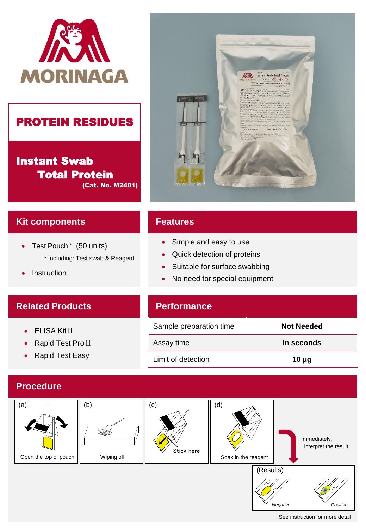

## PROTEIN RESIDUES

Instant Swab Total Protein (Cat. No. M2401)



### **Kit components**

- Test Pouch \* (50 units) \* Including: Test swab & Reagent
- Instruction

### **Related Products**

- ELISA Kit II
- Rapid Test Pro II
- Rapid Test Easy

#### **Features**

- Simple and easy to use
- Quick detection of proteins
- Suitable for surface swabbing
- No need for special equipment

## **Performance**

| Sample preparation time | Not Needed |
|-------------------------|------------|
| Assay time              | In seconds |
| Limit of detection      | $10 \mu$ g |

#### **Procedure**